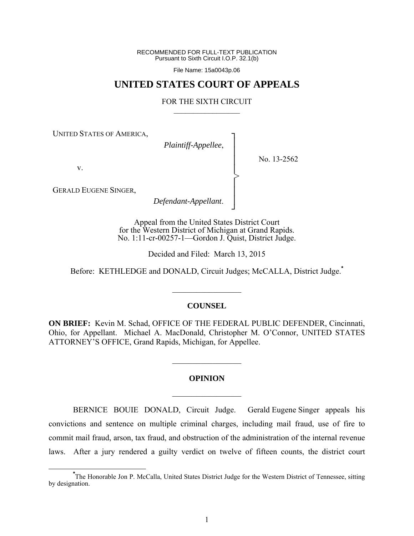RECOMMENDED FOR FULL-TEXT PUBLICATION Pursuant to Sixth Circuit I.O.P. 32.1(b)

File Name: 15a0043p.06

## **UNITED STATES COURT OF APPEALS**

#### FOR THE SIXTH CIRCUIT  $\mathcal{L}_\text{max}$

┐ │ │ │ │ │ │ │ ┘

>

UNITED STATES OF AMERICA,

*Plaintiff-Appellee*,

No. 13-2562

v.

GERALD EUGENE SINGER,

*Defendant-Appellant*.

Appeal from the United States District Court for the Western District of Michigan at Grand Rapids. No. 1:11-cr-00257-1—Gordon J. Quist, District Judge.

Decided and Filed: March 13, 2015

Before: KETHLEDGE and DONALD, Circuit Judges; McCALLA, District Judge.**\***

#### **COUNSEL**

 $\frac{1}{2}$ 

**ON BRIEF:** Kevin M. Schad, OFFICE OF THE FEDERAL PUBLIC DEFENDER, Cincinnati, Ohio, for Appellant. Michael A. MacDonald, Christopher M. O'Connor, UNITED STATES ATTORNEY'S OFFICE, Grand Rapids, Michigan, for Appellee.

# **OPINION**  $\frac{1}{2}$

 $\frac{1}{2}$ 

BERNICE BOUIE DONALD, Circuit Judge. Gerald Eugene Singer appeals his convictions and sentence on multiple criminal charges, including mail fraud, use of fire to commit mail fraud, arson, tax fraud, and obstruction of the administration of the internal revenue laws. After a jury rendered a guilty verdict on twelve of fifteen counts, the district court

**\*** The Honorable Jon P. McCalla, United States District Judge for the Western District of Tennessee, sitting by designation.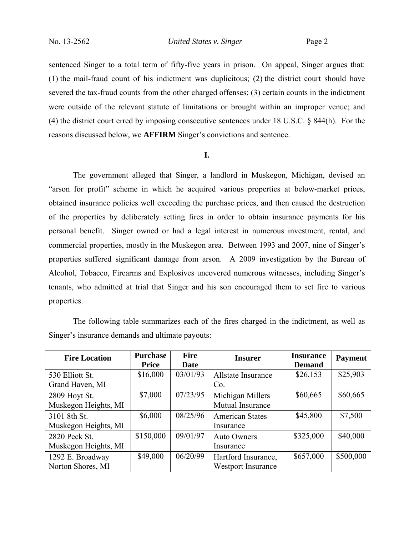sentenced Singer to a total term of fifty-five years in prison. On appeal, Singer argues that: (1) the mail-fraud count of his indictment was duplicitous; (2) the district court should have severed the tax-fraud counts from the other charged offenses; (3) certain counts in the indictment were outside of the relevant statute of limitations or brought within an improper venue; and (4) the district court erred by imposing consecutive sentences under 18 U.S.C. § 844(h). For the reasons discussed below, we **AFFIRM** Singer's convictions and sentence.

#### **I.**

The government alleged that Singer, a landlord in Muskegon, Michigan, devised an "arson for profit" scheme in which he acquired various properties at below-market prices, obtained insurance policies well exceeding the purchase prices, and then caused the destruction of the properties by deliberately setting fires in order to obtain insurance payments for his personal benefit. Singer owned or had a legal interest in numerous investment, rental, and commercial properties, mostly in the Muskegon area. Between 1993 and 2007, nine of Singer's properties suffered significant damage from arson. A 2009 investigation by the Bureau of Alcohol, Tobacco, Firearms and Explosives uncovered numerous witnesses, including Singer's tenants, who admitted at trial that Singer and his son encouraged them to set fire to various properties.

The following table summarizes each of the fires charged in the indictment, as well as Singer's insurance demands and ultimate payouts:

| <b>Fire Location</b>                  | <b>Purchase</b><br><b>Price</b> | <b>Fire</b><br>Date | <b>Insurer</b>                                   | <b>Insurance</b><br><b>Demand</b> | <b>Payment</b> |
|---------------------------------------|---------------------------------|---------------------|--------------------------------------------------|-----------------------------------|----------------|
| 530 Elliott St.<br>Grand Haven, MI    | \$16,000                        | 03/01/93            | Allstate Insurance<br>Co.                        | \$26,153                          | \$25,903       |
| 2809 Hoyt St.<br>Muskegon Heights, MI | \$7,000                         | 07/23/95            | Michigan Millers<br>Mutual Insurance             | \$60,665                          | \$60,665       |
| 3101 8th St.<br>Muskegon Heights, MI  | \$6,000                         | 08/25/96            | <b>American States</b><br>Insurance              | \$45,800                          | \$7,500        |
| 2820 Peck St.<br>Muskegon Heights, MI | \$150,000                       | 09/01/97            | <b>Auto Owners</b><br>Insurance                  | \$325,000                         | \$40,000       |
| 1292 E. Broadway<br>Norton Shores, MI | \$49,000                        | 06/20/99            | Hartford Insurance,<br><b>Westport Insurance</b> | \$657,000                         | \$500,000      |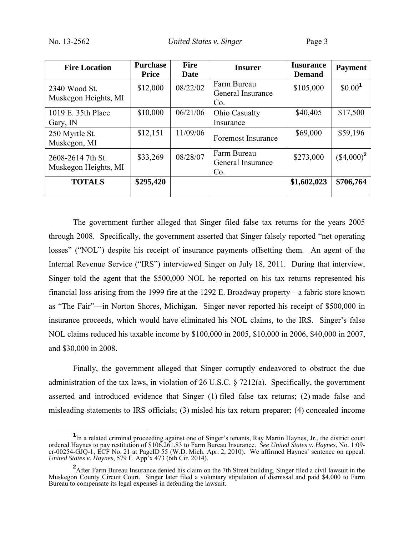| <b>Fire Location</b>                      | <b>Purchase</b><br><b>Price</b> | <b>Fire</b><br>Date | <b>Insurer</b>                          | <b>Insurance</b><br><b>Demand</b> | <b>Payment</b>      |
|-------------------------------------------|---------------------------------|---------------------|-----------------------------------------|-----------------------------------|---------------------|
| 2340 Wood St.<br>Muskegon Heights, MI     | \$12,000                        | 08/22/02            | Farm Bureau<br>General Insurance<br>Co. | \$105,000                         | \$0.00 <sup>1</sup> |
| 1019 E. 35th Place<br>Gary, IN            | \$10,000                        | 06/21/06            | Ohio Casualty<br>Insurance              | \$40,405                          | \$17,500            |
| 250 Myrtle St.<br>Muskegon, MI            | \$12,151                        | 11/09/06            | <b>Foremost Insurance</b>               | \$69,000                          | \$59,196            |
| 2608-2614 7th St.<br>Muskegon Heights, MI | \$33,269                        | 08/28/07            | Farm Bureau<br>General Insurance<br>Co. | \$273,000                         | $($4,000)^2$        |
| <b>TOTALS</b>                             | \$295,420                       |                     |                                         | \$1,602,023                       | \$706,764           |

The government further alleged that Singer filed false tax returns for the years 2005 through 2008. Specifically, the government asserted that Singer falsely reported "net operating losses" ("NOL") despite his receipt of insurance payments offsetting them. An agent of the Internal Revenue Service ("IRS") interviewed Singer on July 18, 2011. During that interview, Singer told the agent that the \$500,000 NOL he reported on his tax returns represented his financial loss arising from the 1999 fire at the 1292 E. Broadway property—a fabric store known as "The Fair"—in Norton Shores, Michigan. Singer never reported his receipt of \$500,000 in insurance proceeds, which would have eliminated his NOL claims, to the IRS. Singer's false NOL claims reduced his taxable income by \$100,000 in 2005, \$10,000 in 2006, \$40,000 in 2007, and \$30,000 in 2008.

Finally, the government alleged that Singer corruptly endeavored to obstruct the due administration of the tax laws, in violation of 26 U.S.C. § 7212(a). Specifically, the government asserted and introduced evidence that Singer (1) filed false tax returns; (2) made false and misleading statements to IRS officials; (3) misled his tax return preparer; (4) concealed income

**<sup>1</sup>** <sup>1</sup>In a related criminal proceeding against one of Singer's tenants, Ray Martin Haynes, Jr., the district court ordered Haynes to pay restitution of \$106,261.83 to Farm Bureau Insurance. *See United States v. Haynes*, No. 1:09 cr-00254-GJQ-1, ECF No. 21 at PageID 55 (W.D. Mich. Apr. 2, 2010). We affirmed Haynes' sentence on appeal. *United States v. Haynes*, 579 F. App'x 473 (6th Cir. 2014).

<sup>&</sup>lt;sup>2</sup>After Farm Bureau Insurance denied his claim on the 7th Street building, Singer filed a civil lawsuit in the Muskegon County Circuit Court. Singer later filed a voluntary stipulation of dismissal and paid \$4,000 to Farm Bureau to compensate its legal expenses in defending the lawsuit.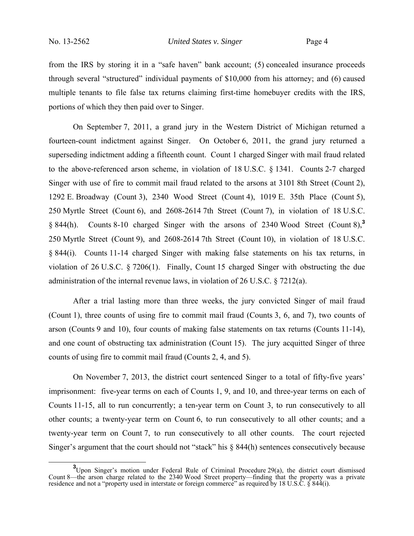from the IRS by storing it in a "safe haven" bank account; (5) concealed insurance proceeds through several "structured" individual payments of \$10,000 from his attorney; and (6) caused multiple tenants to file false tax returns claiming first-time homebuyer credits with the IRS, portions of which they then paid over to Singer.

On September 7, 2011, a grand jury in the Western District of Michigan returned a fourteen-count indictment against Singer. On October 6, 2011, the grand jury returned a superseding indictment adding a fifteenth count. Count 1 charged Singer with mail fraud related to the above-referenced arson scheme, in violation of 18 U.S.C. § 1341. Counts 2-7 charged Singer with use of fire to commit mail fraud related to the arsons at 3101 8th Street (Count 2), 1292 E. Broadway (Count 3), 2340 Wood Street (Count 4), 1019 E. 35th Place (Count 5), 250 Myrtle Street (Count 6), and 2608-2614 7th Street (Count 7), in violation of 18 U.S.C. § 844(h). Counts 8-10 charged Singer with the arsons of 2340 Wood Street (Count 8),**<sup>3</sup>** 250 Myrtle Street (Count 9), and 2608-2614 7th Street (Count 10), in violation of 18 U.S.C. § 844(i). Counts 11-14 charged Singer with making false statements on his tax returns, in violation of 26 U.S.C. § 7206(1). Finally, Count 15 charged Singer with obstructing the due administration of the internal revenue laws, in violation of 26 U.S.C. § 7212(a).

After a trial lasting more than three weeks, the jury convicted Singer of mail fraud (Count 1), three counts of using fire to commit mail fraud (Counts 3, 6, and 7), two counts of arson (Counts 9 and 10), four counts of making false statements on tax returns (Counts 11-14), and one count of obstructing tax administration (Count 15). The jury acquitted Singer of three counts of using fire to commit mail fraud (Counts 2, 4, and 5).

On November 7, 2013, the district court sentenced Singer to a total of fifty-five years' imprisonment: five-year terms on each of Counts 1, 9, and 10, and three-year terms on each of Counts 11-15, all to run concurrently; a ten-year term on Count 3, to run consecutively to all other counts; a twenty-year term on Count 6, to run consecutively to all other counts; and a twenty-year term on Count 7, to run consecutively to all other counts. The court rejected Singer's argument that the court should not "stack" his § 844(h) sentences consecutively because

<sup>&</sup>lt;sup>3</sup>Upon Singer's motion under Federal Rule of Criminal Procedure 29(a), the district court dismissed Count 8—the arson charge related to the 2340 Wood Street property—finding that the property was a private residence and not a "property used in interstate or foreign commerce" as required by 18 U.S.C. § 844(i).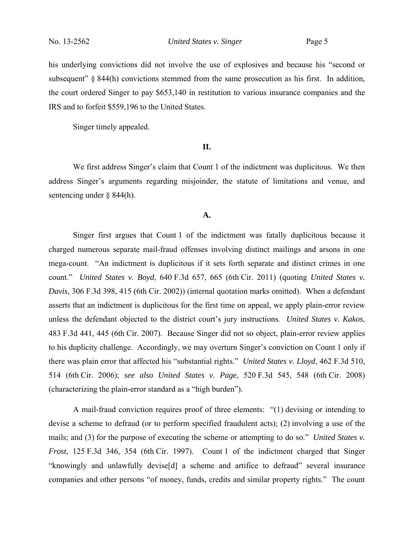his underlying convictions did not involve the use of explosives and because his "second or subsequent"  $\S$  844(h) convictions stemmed from the same prosecution as his first. In addition, the court ordered Singer to pay \$653,140 in restitution to various insurance companies and the IRS and to forfeit \$559,196 to the United States.

Singer timely appealed.

#### **II.**

We first address Singer's claim that Count 1 of the indictment was duplicitous. We then address Singer's arguments regarding misjoinder, the statute of limitations and venue, and sentencing under § 844(h).

#### **A.**

Singer first argues that Count 1 of the indictment was fatally duplicitous because it charged numerous separate mail-fraud offenses involving distinct mailings and arsons in one mega-count. "An indictment is duplicitous if it sets forth separate and distinct crimes in one count." *United States v. Boyd*, 640 F.3d 657, 665 (6th Cir. 2011) (quoting *United States v. Davis*, 306 F.3d 398, 415 (6th Cir. 2002)) (internal quotation marks omitted). When a defendant asserts that an indictment is duplicitous for the first time on appeal, we apply plain-error review unless the defendant objected to the district court's jury instructions. *United States v. Kakos*, 483 F.3d 441, 445 (6th Cir. 2007). Because Singer did not so object, plain-error review applies to his duplicity challenge. Accordingly, we may overturn Singer's conviction on Count 1 only if there was plain error that affected his "substantial rights." *United States v. Lloyd*, 462 F.3d 510, 514 (6th Cir. 2006); *see also United States v. Page*, 520 F.3d 545, 548 (6th Cir. 2008) (characterizing the plain-error standard as a "high burden").

A mail-fraud conviction requires proof of three elements: "(1) devising or intending to devise a scheme to defraud (or to perform specified fraudulent acts); (2) involving a use of the mails; and (3) for the purpose of executing the scheme or attempting to do so." *United States v. Frost*, 125 F.3d 346, 354 (6th Cir. 1997). Count 1 of the indictment charged that Singer "knowingly and unlawfully devise[d] a scheme and artifice to defraud" several insurance companies and other persons "of money, funds, credits and similar property rights." The count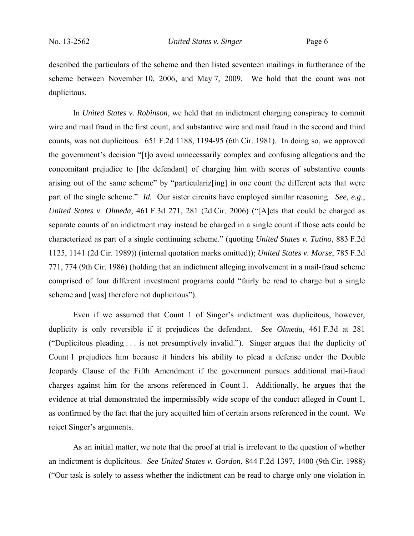described the particulars of the scheme and then listed seventeen mailings in furtherance of the scheme between November 10, 2006, and May 7, 2009. We hold that the count was not duplicitous.

In *United States v. Robinson*, we held that an indictment charging conspiracy to commit wire and mail fraud in the first count, and substantive wire and mail fraud in the second and third counts, was not duplicitous. 651 F.2d 1188, 1194-95 (6th Cir. 1981). In doing so, we approved the government's decision "[t]o avoid unnecessarily complex and confusing allegations and the concomitant prejudice to [the defendant] of charging him with scores of substantive counts arising out of the same scheme" by "particulariz[ing] in one count the different acts that were part of the single scheme." *Id.* Our sister circuits have employed similar reasoning. *See, e.g.*, *United States v. Olmeda*, 461 F.3d 271, 281 (2d Cir. 2006) ("[A]cts that could be charged as separate counts of an indictment may instead be charged in a single count if those acts could be characterized as part of a single continuing scheme." (quoting *United States v. Tutino*, 883 F.2d 1125, 1141 (2d Cir. 1989)) (internal quotation marks omitted)); *United States v. Morse*, 785 F.2d 771, 774 (9th Cir. 1986) (holding that an indictment alleging involvement in a mail-fraud scheme comprised of four different investment programs could "fairly be read to charge but a single scheme and [was] therefore not duplicitous").

Even if we assumed that Count 1 of Singer's indictment was duplicitous, however, duplicity is only reversible if it prejudices the defendant. *See Olmeda*, 461 F.3d at 281 ("Duplicitous pleading . . . is not presumptively invalid."). Singer argues that the duplicity of Count 1 prejudices him because it hinders his ability to plead a defense under the Double Jeopardy Clause of the Fifth Amendment if the government pursues additional mail-fraud charges against him for the arsons referenced in Count 1. Additionally, he argues that the evidence at trial demonstrated the impermissibly wide scope of the conduct alleged in Count 1, as confirmed by the fact that the jury acquitted him of certain arsons referenced in the count. We reject Singer's arguments.

As an initial matter, we note that the proof at trial is irrelevant to the question of whether an indictment is duplicitous. *See United States v. Gordon*, 844 F.2d 1397, 1400 (9th Cir. 1988) ("Our task is solely to assess whether the indictment can be read to charge only one violation in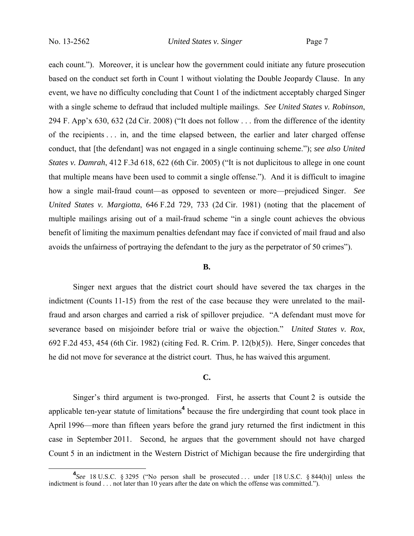each count."). Moreover, it is unclear how the government could initiate any future prosecution based on the conduct set forth in Count 1 without violating the Double Jeopardy Clause. In any event, we have no difficulty concluding that Count 1 of the indictment acceptably charged Singer with a single scheme to defraud that included multiple mailings. *See United States v. Robinson*, 294 F. App'x 630, 632 (2d Cir. 2008) ("It does not follow . . . from the difference of the identity of the recipients . . . in, and the time elapsed between, the earlier and later charged offense conduct, that [the defendant] was not engaged in a single continuing scheme."); *see also United States v. Damrah*, 412 F.3d 618, 622 (6th Cir. 2005) ("It is not duplicitous to allege in one count that multiple means have been used to commit a single offense."). And it is difficult to imagine how a single mail-fraud count—as opposed to seventeen or more—prejudiced Singer. *See United States v. Margiotta*, 646 F.2d 729, 733 (2d Cir. 1981) (noting that the placement of multiple mailings arising out of a mail-fraud scheme "in a single count achieves the obvious benefit of limiting the maximum penalties defendant may face if convicted of mail fraud and also avoids the unfairness of portraying the defendant to the jury as the perpetrator of 50 crimes").

#### **B.**

Singer next argues that the district court should have severed the tax charges in the indictment (Counts 11-15) from the rest of the case because they were unrelated to the mailfraud and arson charges and carried a risk of spillover prejudice. "A defendant must move for severance based on misjoinder before trial or waive the objection." *United States v. Rox*, 692 F.2d 453, 454 (6th Cir. 1982) (citing Fed. R. Crim. P. 12(b)(5)). Here, Singer concedes that he did not move for severance at the district court. Thus, he has waived this argument.

### **C.**

Singer's third argument is two-pronged. First, he asserts that Count 2 is outside the applicable ten-year statute of limitations**<sup>4</sup>** because the fire undergirding that count took place in April 1996—more than fifteen years before the grand jury returned the first indictment in this case in September 2011. Second, he argues that the government should not have charged Count 5 in an indictment in the Western District of Michigan because the fire undergirding that

**<sup>4</sup>** *See* 18 U.S.C. § 3295 ("No person shall be prosecuted . . . under [18 U.S.C. § 844(h)] unless the indictment is found . . . not later than 10 years after the date on which the offense was committed.").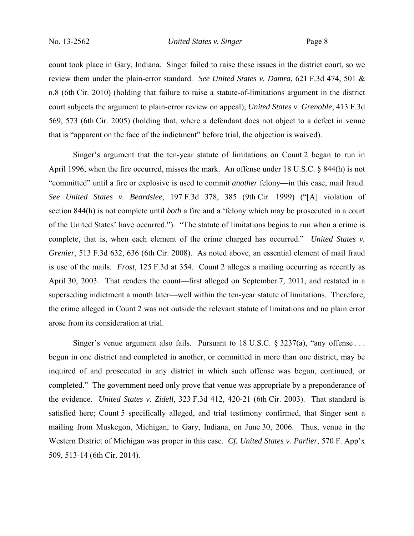count took place in Gary, Indiana. Singer failed to raise these issues in the district court, so we review them under the plain-error standard. *See United States v. Damra*, 621 F.3d 474, 501 & n.8 (6th Cir. 2010) (holding that failure to raise a statute-of-limitations argument in the district court subjects the argument to plain-error review on appeal); *United States v. Grenoble*, 413 F.3d 569, 573 (6th Cir. 2005) (holding that, where a defendant does not object to a defect in venue that is "apparent on the face of the indictment" before trial, the objection is waived).

Singer's argument that the ten-year statute of limitations on Count 2 began to run in April 1996, when the fire occurred, misses the mark. An offense under 18 U.S.C. § 844(h) is not "committed" until a fire or explosive is used to commit *another* felony—in this case, mail fraud. *See United States v. Beardslee*, 197 F.3d 378, 385 (9th Cir. 1999) ("[A] violation of section 844(h) is not complete until *both* a fire and a 'felony which may be prosecuted in a court of the United States' have occurred."). "The statute of limitations begins to run when a crime is complete, that is, when each element of the crime charged has occurred." *United States v. Grenier*, 513 F.3d 632, 636 (6th Cir. 2008). As noted above, an essential element of mail fraud is use of the mails. *Frost*, 125 F.3d at 354. Count 2 alleges a mailing occurring as recently as April 30, 2003. That renders the count—first alleged on September 7, 2011, and restated in a superseding indictment a month later—well within the ten-year statute of limitations. Therefore, the crime alleged in Count 2 was not outside the relevant statute of limitations and no plain error arose from its consideration at trial.

Singer's venue argument also fails. Pursuant to  $18 \text{ U.S.C. }$  \$ 3237(a), "any offense ... begun in one district and completed in another, or committed in more than one district, may be inquired of and prosecuted in any district in which such offense was begun, continued, or completed." The government need only prove that venue was appropriate by a preponderance of the evidence. *United States v. Zidell*, 323 F.3d 412, 420-21 (6th Cir. 2003). That standard is satisfied here; Count 5 specifically alleged, and trial testimony confirmed, that Singer sent a mailing from Muskegon, Michigan, to Gary, Indiana, on June 30, 2006. Thus, venue in the Western District of Michigan was proper in this case. *Cf. United States v. Parlier*, 570 F. App'x 509, 513-14 (6th Cir. 2014).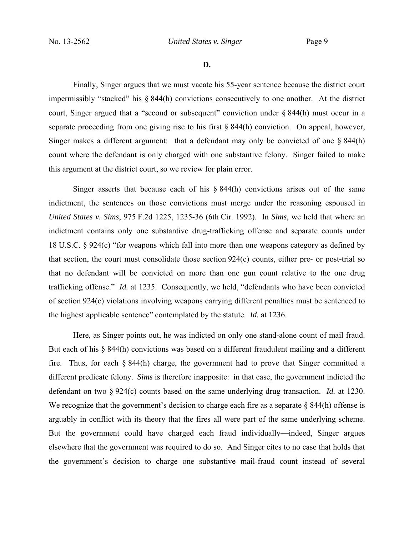**D.**

Finally, Singer argues that we must vacate his 55-year sentence because the district court impermissibly "stacked" his § 844(h) convictions consecutively to one another. At the district court, Singer argued that a "second or subsequent" conviction under § 844(h) must occur in a separate proceeding from one giving rise to his first § 844(h) conviction. On appeal, however, Singer makes a different argument: that a defendant may only be convicted of one § 844(h) count where the defendant is only charged with one substantive felony. Singer failed to make this argument at the district court, so we review for plain error.

Singer asserts that because each of his  $\S 844(h)$  convictions arises out of the same indictment, the sentences on those convictions must merge under the reasoning espoused in *United States v. Sims*, 975 F.2d 1225, 1235-36 (6th Cir. 1992). In *Sims*, we held that where an indictment contains only one substantive drug-trafficking offense and separate counts under 18 U.S.C. § 924(c) "for weapons which fall into more than one weapons category as defined by that section, the court must consolidate those section 924(c) counts, either pre- or post-trial so that no defendant will be convicted on more than one gun count relative to the one drug trafficking offense." *Id.* at 1235. Consequently, we held, "defendants who have been convicted of section 924(c) violations involving weapons carrying different penalties must be sentenced to the highest applicable sentence" contemplated by the statute. *Id.* at 1236.

Here, as Singer points out, he was indicted on only one stand-alone count of mail fraud. But each of his § 844(h) convictions was based on a different fraudulent mailing and a different fire. Thus, for each § 844(h) charge, the government had to prove that Singer committed a different predicate felony. *Sims* is therefore inapposite: in that case, the government indicted the defendant on two § 924(c) counts based on the same underlying drug transaction. *Id.* at 1230. We recognize that the government's decision to charge each fire as a separate § 844(h) offense is arguably in conflict with its theory that the fires all were part of the same underlying scheme. But the government could have charged each fraud individually—indeed, Singer argues elsewhere that the government was required to do so. And Singer cites to no case that holds that the government's decision to charge one substantive mail-fraud count instead of several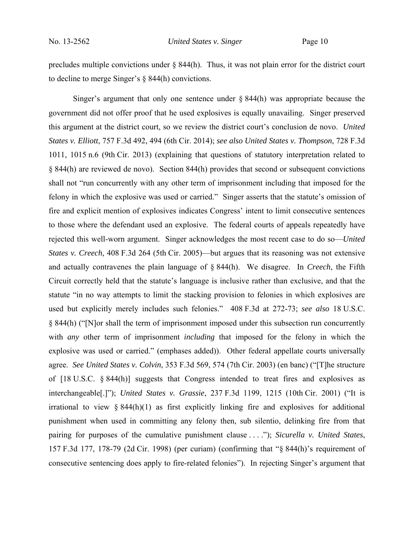precludes multiple convictions under § 844(h). Thus, it was not plain error for the district court to decline to merge Singer's § 844(h) convictions.

Singer's argument that only one sentence under  $\S$  844(h) was appropriate because the government did not offer proof that he used explosives is equally unavailing. Singer preserved this argument at the district court, so we review the district court's conclusion de novo. *United States v. Elliott*, 757 F.3d 492, 494 (6th Cir. 2014); *see also United States v. Thompson*, 728 F.3d 1011, 1015 n.6 (9th Cir. 2013) (explaining that questions of statutory interpretation related to § 844(h) are reviewed de novo). Section 844(h) provides that second or subsequent convictions shall not "run concurrently with any other term of imprisonment including that imposed for the felony in which the explosive was used or carried." Singer asserts that the statute's omission of fire and explicit mention of explosives indicates Congress' intent to limit consecutive sentences to those where the defendant used an explosive. The federal courts of appeals repeatedly have rejected this well-worn argument. Singer acknowledges the most recent case to do so—*United States v. Creech*, 408 F.3d 264 (5th Cir. 2005)—but argues that its reasoning was not extensive and actually contravenes the plain language of § 844(h). We disagree. In *Creech*, the Fifth Circuit correctly held that the statute's language is inclusive rather than exclusive, and that the statute "in no way attempts to limit the stacking provision to felonies in which explosives are used but explicitly merely includes such felonies." 408 F.3d at 272-73; *see also* 18 U.S.C. § 844(h) ("[N]or shall the term of imprisonment imposed under this subsection run concurrently with *any* other term of imprisonment *including* that imposed for the felony in which the explosive was used or carried." (emphases added)). Other federal appellate courts universally agree. *See United States v. Colvin*, 353 F.3d 569, 574 (7th Cir. 2003) (en banc) ("[T]he structure of [18 U.S.C. § 844(h)] suggests that Congress intended to treat fires and explosives as interchangeable[.]"); *United States v. Grassie*, 237 F.3d 1199, 1215 (10th Cir. 2001) ("It is irrational to view  $\S 844(h)(1)$  as first explicitly linking fire and explosives for additional punishment when used in committing any felony then, sub silentio, delinking fire from that pairing for purposes of the cumulative punishment clause . . . ."); *Sicurella v. United States*, 157 F.3d 177, 178-79 (2d Cir. 1998) (per curiam) (confirming that "§ 844(h)'s requirement of consecutive sentencing does apply to fire-related felonies"). In rejecting Singer's argument that